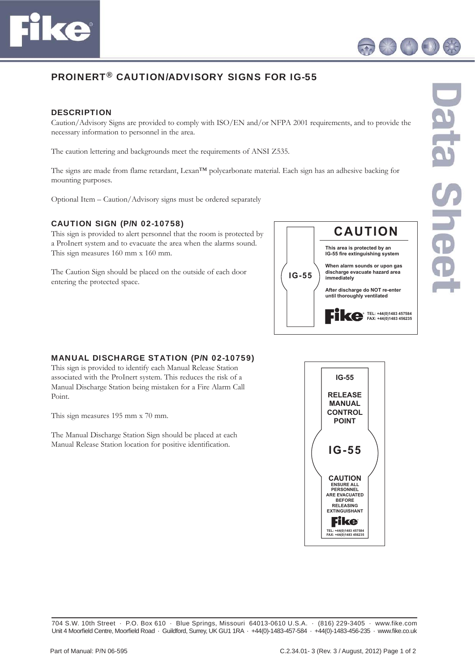



## PROINERT® CAUTION/ADVISORY SIGNS FOR IG-55

## **DESCRIPTION**

Caution/Advisory Signs are provided to comply with ISO/EN and/or NFPA 2001 requirements, and to provide the necessary information to personnel in the area.

The caution lettering and backgrounds meet the requirements of ANSI Z535.

The signs are made from flame retardant, Lexan™ polycarbonate material. Each sign has an adhesive backing for mounting purposes.

Optional Item – Caution/Advisory signs must be ordered separately

## CAUTION SIGN (P/N 02-10758)

This sign is provided to alert personnel that the room is protected by a ProInert system and to evacuate the area when the alarms sound. This sign measures 160 mm x 160 mm.

The Caution Sign should be placed on the outside of each door entering the protected space.



## MANUAL DISCHARGE STATION (P/N 02-10759)

This sign is provided to identify each Manual Release Station associated with the ProInert system. This reduces the risk of a Manual Discharge Station being mistaken for a Fire Alarm Call Point.

This sign measures 195 mm x 70 mm.

The Manual Discharge Station Sign should be placed at each Manual Release Station location for positive identification.



Data Sheet

704 S.W. 10th Street · P.O. Box 610 · Blue Springs, Missouri 64013-0610 U.S.A. · (816) 229-3405 · www.fike.com Unit 4 Moorfield Centre, Moorfield Road · Guildford, Surrey, UK GU1 1RA · +44(0)-1483-457-584 · +44(0)-1483-456-235 · www.fike.co.uk